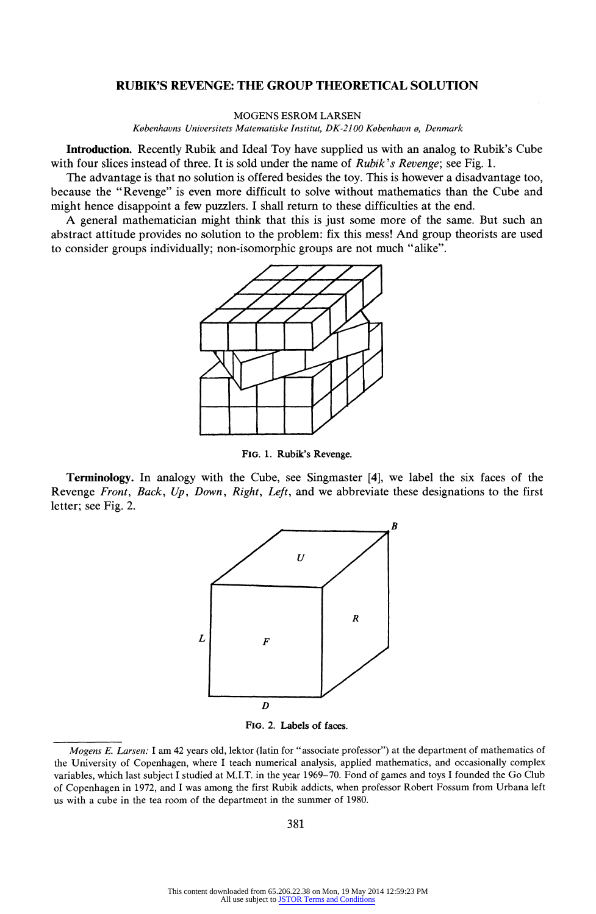# RUBIK'S REVENGE: THE GROUP THEORETICAL SOLUTION

MOGENS ESROM LARSEN

Kobenhavns Universitets Matematiske Institut, DK-2100 Kobenhavn o, Denmark

Introduction. Recently Rubik and Ideal Toy have supplied us with an analog to Rubik's Cube with four slices instead of three. It is sold under the name of *Rubik's Revenge*; see Fig. 1.

The advantage is that no solution is offered besides the toy. This is however a disadvantage too, because the "Revenge" is even more difficult to solve without mathematics than the Cube and might hence disappoint a few puzzlers. I shall return to these difficulties at the end.

A general mathematician might think that this is just some more of the same. But such an abstract attitude provides no solution to the problem: fix this mess! And group theorists are used to consider groups individually; non-isomorphic groups are not much "alike".



FIG. 1. Rubik's Revenge.

Terminology. In analogy with the Cube, see Singmaster [4], we label the six faces of the Revenge Front, Back,  $Up$ , Down, Right, Left, and we abbreviate these designations to the first letter; see Fig. 2.



FIG. 2. Labels of faces.

Mogens E. Larsen: I am 42 years old, lektor (latin for "associate professor") at the department of mathematics of the University of Copenhagen, where I teach numerical analysis, applied mathematics, and occasionally complex variables, which last subject I studied at M.I.T. in the year 1969-70. Fond of games and toys I founded the Go Club of Copenhagen in 1972, and I was among the first Rubik addicts, when professor Robert Fossum from Urbana left us with a cube in the tea room of the department in the summer of 1980.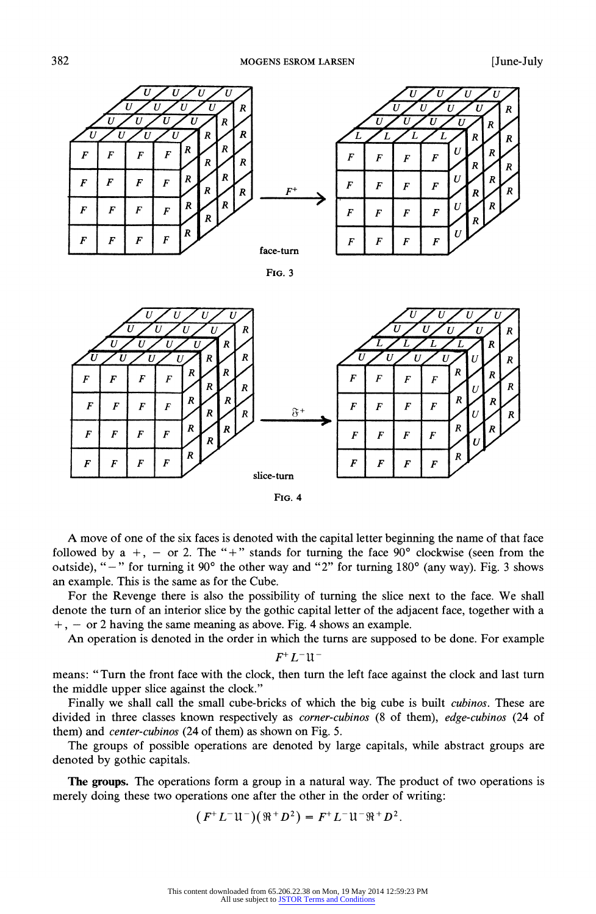

FIG. 3



FIG. 4

A move of one of the six faces is denoted with the capital letter beginning the name of that face followed by a +, - or 2. The "+" stands for turning the face  $90^{\circ}$  clockwise (seen from the oatside), " $-$ " for turning it 90 $^{\circ}$  the other way and "2" for turning 180 $^{\circ}$  (any way). Fig. 3 shows an example. This is the same as for the Cube.

For the Revenge there is also the possibility of turning the slice next to the face. We shall denote the turn of an interior slice by the gothic capital letter of the adjacent face, together with a  $+$ ,  $-$  or 2 having the same meaning as above. Fig. 4 shows an example.

An operation is denoted in the order in which the turns are supposed to be done. For example

## $F^+L^-$ u-

means: "Turn the front face with the clock, then turn the left face against the clock and last turn the middle upper slice against the clock."

Finally we shall call the small cube-bricks of which the big cube is built *cubinos*. These are divided in three classes known respectively as *corner-cubinos* (8 of them), edge-cubinos (24 of them) and center-cubinos (24 of them) as shown on Fig. 5.

The groups of possible operations are denoted by large capitals, while abstract groups are denoted by gothic capitals.

The groups. The operations form a group in a natural way. The product of two operations is merely doing these two operations one after the other in the order of writing:

 $(F^+L^-\mathfrak{U}^-)(\mathfrak{R}^+D^2) = F^+L^-\mathfrak{U}^-\mathfrak{R}^+D^2.$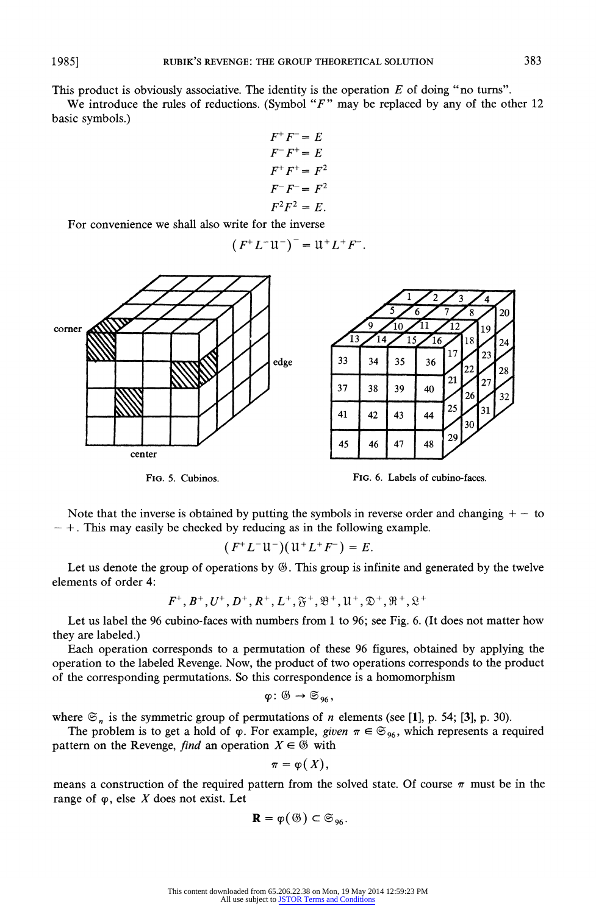This product is obviously associative. The identity is the operation  $E$  of doing "no turns".

We introduce the rules of reductions. (Symbol " $F$ " may be replaced by any of the other 12 basic symbols.)

$$
F^+F^- = E
$$
  
\n
$$
F^-F^+ = E
$$
  
\n
$$
F^+F^+ = F^2
$$
  
\n
$$
F^-F^- = F^2
$$
  
\n
$$
F^2F^2 = E.
$$

For convenience we shall also write for the inverse

$$
(F^+L^- \mathfrak{U}^-)^- = \mathfrak{U}^+L^+F^-
$$





Note that the inverse is obtained by putting the symbols in reverse order and changing  $+ -$  to  $-+$ . This may easily be checked by reducing as in the following example.

$$
(F^+L^- \mathfrak{U}^-)(\mathfrak{U}^+L^+F^-)=E.
$$

Let us denote the group of operations by  $\mathcal G$ . This group is infinite and generated by the twelve elements of order 4:

$$
F^+, B^+, U^+, D^+, R^+, L^+, \mathfrak{F}^+, \mathfrak{B}^+, \mathfrak{U}^+, \mathfrak{D}^+, \mathfrak{R}^+, \mathfrak{L}^+
$$

Let us label the 96 cubino-faces with numbers from 1 to 96; see Fig. 6. (It does not matter how they are labeled.)

Each operation corresponds to a permutation of these 96 figures, obtained by applying the operation to the labeled Revenge. Now, the product of two operations corresponds to the product of the corresponding permutations. So this correspondence is a homomorphism

$$
\varphi\colon \mathfrak{G}\to\mathfrak{S}_{96},
$$

where  $\mathfrak{S}_n$  is the symmetric group of permutations of n elements (see [1], p. 54; [3], p. 30).

The problem is to get a hold of  $\varphi$ . For example, given  $\pi \in \mathfrak{S}_{96}$ , which represents a required pattern on the Revenge, *find* an operation  $X \in \mathcal{B}$  with

$$
\pi=\varphi(X),
$$

means a construction of the required pattern from the solved state. Of course  $\pi$  must be in the range of  $\varphi$ , else X does not exist. Let

$$
\mathbf{R}=\varphi(\mathfrak{G})\subset\mathfrak{S}_{96}.
$$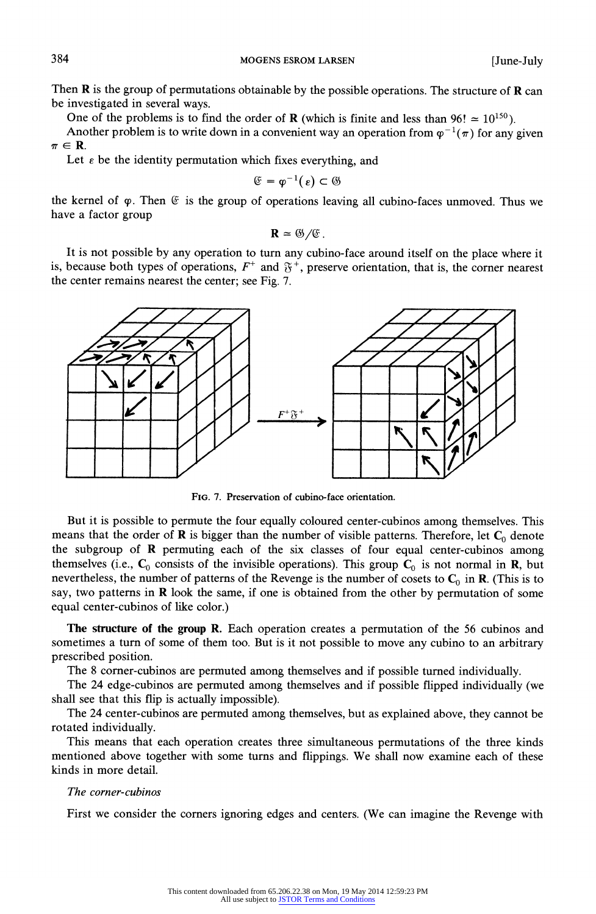384 MOGENS ESROM LARSEN [June-July

Then  **is the group of permutations obtainable by the possible operations. The structure of**  $**R**$  **can** be investigated in several ways.

One of the problems is to find the order of **R** (which is finite and less than 96!  $\approx 10^{150}$ ).

Another problem is to write down in a convenient way an operation from  $\varphi^{-1}(\pi)$  for any given  $\pi \in \mathbf{R}$ .

Let  $\epsilon$  be the identity permutation which fixes everything, and

$$
\mathfrak{E}=\phi^{-1}(\,\varepsilon)\subset\mathfrak{G}
$$

the kernel of  $\varphi$ . Then  $\mathfrak{E}$  is the group of operations leaving all cubino-faces unmoved. Thus we have a factor group

$$
\mathbf{R} \simeq \mathfrak{G}/\mathfrak{E}.
$$

It is not possible by any operation to turn any cubino-face around itself on the place where it is, because both types of operations,  $F^+$  and  $\mathfrak{F}^+$ , preserve orientation, that is, the corner nearest the center remains nearest the center; see Fig. 7.



FIG. 7. Preservation of cubino-face orientation.

But it is possible to permute the four equally coloured center-cubinos among themselves. This means that the order of  $\bf{R}$  is bigger than the number of visible patterns. Therefore, let  $\bf{C}_0$  denote the subgroup of R permuting each of the six classes of four equal center-cubinos among themselves (i.e.,  $C_0$  consists of the invisible operations). This group  $C_0$  is not normal in R, but nevertheless, the number of patterns of the Revenge is the number of cosets to  $C_0$  in R. (This is to say, two patterns in R look the same, if one is obtained from the other by permutation of some equal center-cubinos of like color.)

The structure of the group R. Each operation creates a permutation of the 56 cubinos and sometimes aturn of some of them too. But is it not possible to move any cubino to an arbitrary prescribed position.

The 8 comer-cubinos are permuted among themselves and if possible turned individually.

The 24 edge-cubinos are permuted among themselves and if possible flipped individually (we shall see that this flip is actually impossible).

The 24 center-cubinos are permuted among themselves, but as explained above, they cannot be rotated individually.

This means that each operation creates three simultaneous permutations of the three kinds mentioned above together with some turns and flippings. We shall now examine each of these kinds in more detail.

# The corner-cubinos

First we consider the corners ignoring edges and centers. (We can imagine the Revenge with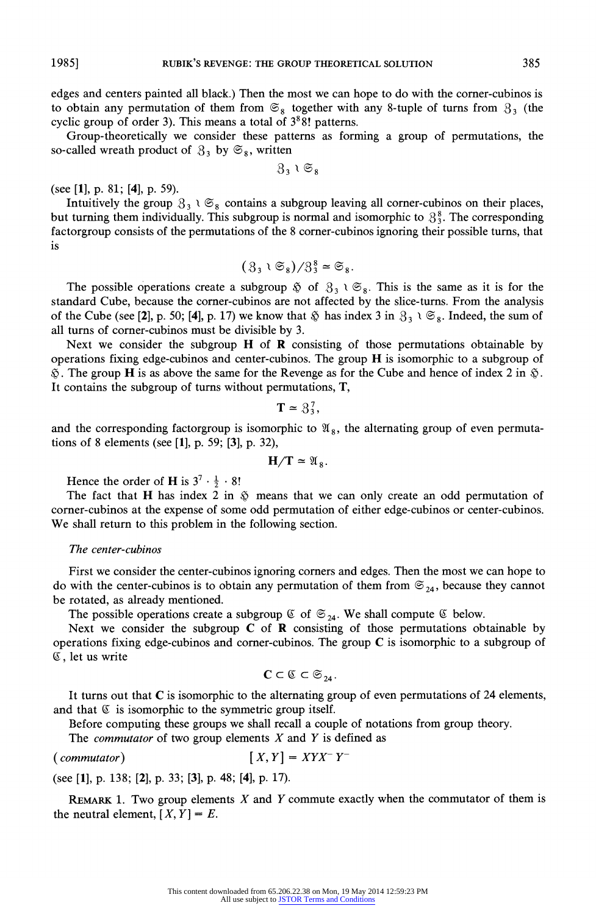edges and centers painted all black.) Then the most we can hope to do with the corner-cubinos is to obtain any permutation of them from  $\mathfrak{S}_8$  together with any 8-tuple of turns from  $\mathfrak{S}_3$  (the cyclic group of order 3). This means a total of  $3<sup>8</sup>8!$  patterns.

Group-theoretically we consider these patterns as forming agroup of permutations, the so-called wreath product of  $3_3$  by  $\mathfrak{S}_8$ , written

 $3,1$   $\mathfrak{S}_8$ 

(see [1], p. 81; [4], p. 59).

Intuitively the group  $3_3 \vee \mathfrak{S}_8$  contains a subgroup leaving all corner-cubinos on their places, but turning them individually. This subgroup is normal and isomorphic to  $3\frac{8}{3}$ . The corresponding factorgroup consists of the permutations of the 8 corner-cubinos ignoring their possible turns, that is

$$
(3_3 \cup \mathfrak{S}_8)/3_3^8 \simeq \mathfrak{S}_8.
$$

The possible operations create a subgroup  $\&$  of  $3_3 \vee \mathfrak{S}_8$ . This is the same as it is for the standard Cube, because the comer-cubinos are not affected by the slice-turns. From the analysis of the Cube (see [2], p. 50; [4], p. 17) we know that  $\hat{\varphi}$  has index 3 in  $\mathcal{S}_3 \setminus \mathfrak{S}_8$ . Indeed, the sum of all turns of corner-cubinos must be divisible by 3.

Next we consider the subgroup  $H$  of  $R$  consisting of those permutations obtainable by operations fixing edge-cubinos and center-cubinos. The group H is isomorphic to a subgroup of  $\&$ . The group H is as above the same for the Revenge as for the Cube and hence of index 2 in  $\&$ . It contains the subgroup of turns without permutations, T

$$
\mathbf{T} \simeq 3_3^7,
$$

and the corresponding factorgroup is isomorphic to  $\mathfrak{A}_8$ , the alternating group of even permutations of 8 elements (see [1], p. 59; [3], p. 32),

$$
H/T \simeq \mathfrak{A}_8.
$$

Hence the order of **H** is  $3^7 \cdot \frac{1}{2} \cdot 8!$ 

The fact that H has index 2 in  $\tilde{\varphi}$  means that we can only create an odd permutation of comer-cubinos at the expense of some odd permutation of either edge-cubinos or center-cubinos. We shall return to this problem in the following section.

### The center-cubinos

First we consider the center-cubinos ignoring corners and edges. Then the most we can hope to do with the center-cubinos is to obtain any permutation of them from  $\mathfrak{S}_{24}$ , because they cannot be rotated, as already mentioned.

The possible operations create a subgroup  $\mathfrak{C}$  of  $\mathfrak{S}_{24}$ . We shall compute  $\mathfrak{C}$  below.

Next we consider the subgroup  $C$  of  $R$  consisting of those permutations obtainable by operations fixing edge-cubinos and corner-cubinos. The group  $C$  is isomorphic to a subgroup of (C, let us write

$$
\mathbf{C}\subset\mathbb{C}\subset\mathfrak{S}_{_{24}}.
$$

It turns out that C is isomorphic to the alternating group of even permutations of 24 elements, and that  $E$  is isomorphic to the symmetric group itself.

Before computing these groups we shall recall a couple of notations from group theory.

The *commutator* of two group elements  $X$  and  $Y$  is defined as

# $\left(\text{commutator}\right) \qquad \qquad \left[X, Y\right] = XYX^{-}Y^{-}$

(see [1], p. 138; [2], p. 33; [3], p. 48; [4], p. 17).

REMARK 1. Two group elements  $X$  and  $Y$  commute exactly when the commutator of them is the neutral element,  $[X, Y] = E$ .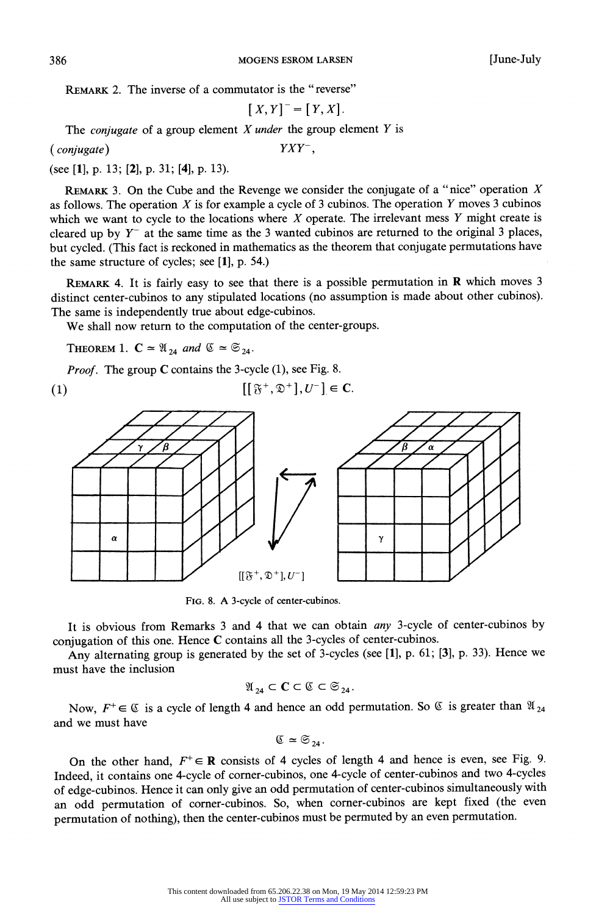REMARK 2. The inverse of a commutator is the "reverse"

$$
[X,Y]^- = [Y,X].
$$

The *conjugate* of a group element  $X$  *under* the group element  $Y$  is

(conjugate) YXY-,

(see [1], p. 13; [2], p. 31; [4], p. 13).

REMARK 3. On the Cube and the Revenge we consider the conjugate of a "nice" operation  $X$ as follows. The operation  $X$  is for example a cycle of 3 cubinos. The operation  $Y$  moves 3 cubinos which we want to cycle to the locations where  $X$  operate. The irrelevant mess  $Y$  might create is cleared up by  $Y^-$  at the same time as the 3 wanted cubinos are returned to the original 3 places, but cycled. (This fact is reckoned in mathematics athe theorem that conjugate permutations have the same structure of cycles; see [1], p. 54.)

REMARK 4. It is fairly easy to see that there is a possible permutation in R which moves 3 distinct center-cubinos to any stipulated locations (no assumption is made about other cubinos). The same is independently true about edge-cubinos.

We shall now return to the computation of the center-groups.

THEOREM 1.  $C \approx \mathfrak{A}_{24}$  and  $\mathfrak{C} \approx \mathfrak{S}_{24}$ .

*Proof.* The group  $C$  contains the 3-cycle (1), see Fig. 8.

(1)  $[{\mathfrak{F}}^+, {\mathfrak{D}}^+] , U^- ] \in {\bf C}.$ 



FIG. 8. A 3-cycle of center-cubinos.

It is obvious from Remarks 3 and 4 that we can obtain any 3-cycle of center-cubinos by conjugation of this one. Hence C contains all the 3-cycles of center-cubinos.

Any alternating group is generated by the set of 3-cycles (see [1], p. 61; [3], p. 33). Hence we must have the inclusion

$$
\mathfrak{A}_{24} \subset \mathbf{C} \subset \mathfrak{C} \subset \mathfrak{S}_{24}.
$$

Now,  $F^+ \in \mathbb{C}$  is a cycle of length 4 and hence an odd permutation. So  $\mathbb{C}$  is greater than  $\mathfrak{A}_{24}$ and we must have

$$
\mathfrak{C} \simeq \mathfrak{S}_{24}.
$$

On the other hand,  $F^+ \in \mathbb{R}$  consists of 4 cycles of length 4 and hence is even, see Fig. 9. Indeed, it contains one 4-cycle of corner-cubinos, one 4-cycle of center-cubinos and two 4-cycles of edge-cubinos. Hence it can only give an odd permutation of center-cubinos simultaneously with an odd permutation of corner-cubinos. So, when corner-cubinos are kept fixed (the even permutation of nothing), then the center-cubinos must be permuted by an even permutation.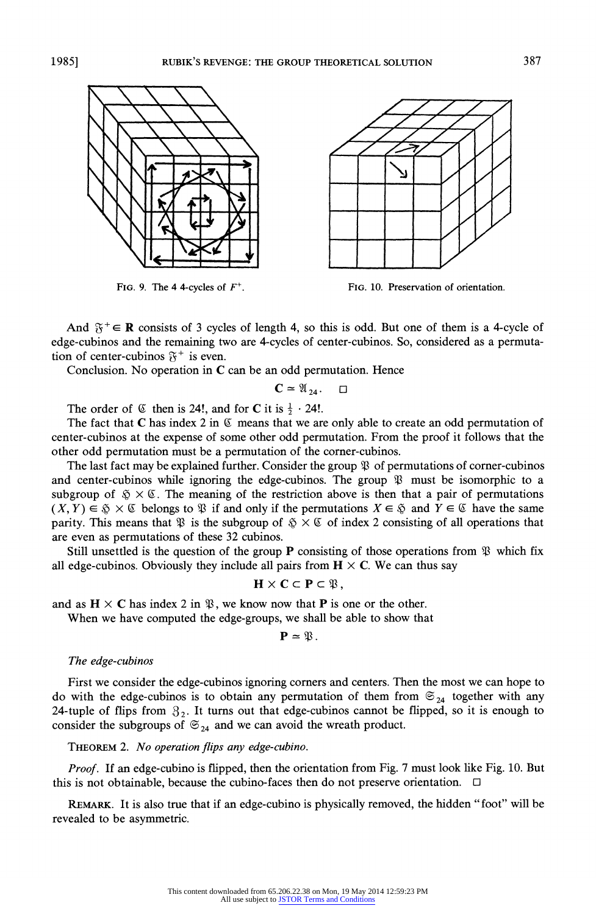



And  $\mathfrak{F}^+ \in \mathbb{R}$  consists of 3 cycles of length 4, so this is odd. But one of them is a 4-cycle of edge-cubinos and the remaining two are 4-cycles of center-cubinos. So, considered as a permutation of center-cubinos  $\mathfrak{F}^+$  is even.

Conclusion. No operation in C can be an odd permutation. Hence

 $C \approx \mathfrak{A}_{24}.$   $\Box$ 

The order of  $\mathfrak C$  then is 24!, and for **C** it is  $\frac{1}{2} \cdot 24!$ .

The fact that C has index 2 in  $\mathfrak G$  means that we are only able to create an odd permutation of center-cubinos at the expense of some other odd permutation. From the proof it follows that the other odd permutation must be a permutation of the corner-cubinos.

The last fact may be explained further. Consider the group  $\mathfrak P$  of permutations of corner-cubinos and center-cubinos while ignoring the edge-cubinos. The group  $\mathfrak P$  must be isomorphic to a subgroup of  $\frac{6}{3} \times \mathcal{C}$ . The meaning of the restriction above is then that a pair of permutations  $(X, Y) \in \mathfrak{F} \times \mathfrak{C}$  belongs to  $\mathfrak{P}$  if and only if the permutations  $X \in \mathfrak{F}$  and  $Y \in \mathfrak{C}$  have the same parity. This means that  $\mathfrak{P}$  is the subgroup of  $\mathfrak{P} \times \mathfrak{C}$  of index 2 consisting of all operations that are even as permutations of these 32 cubinos.

Still unsettled is the question of the group **P** consisting of those operations from  $\mathfrak{P}$  which fix all edge-cubinos. Obviously they include all pairs from  $H \times C$ . We can thus say

 $H \times C \subset P \subset \mathfrak{P},$ 

and as  $H \times C$  has index 2 in  $\mathfrak{B}$ , we know now that **P** is one or the other.

When we have computed the edge-groups, we shall be able to show that

$$
\mathbf{P}=\mathfrak{P}.
$$

#### The edge-cubinos

First we consider the edge-cubinos ignoring corners and centers. Then the most we can hope to do with the edge-cubinos is to obtain any permutation of them from  $\mathfrak{S}_{24}$  together with any 24-tuple of flips from  $3<sub>2</sub>$ . It turns out that edge-cubinos cannot be flipped, so it is enough to consider the subgroups of  $\mathfrak{S}_{24}$  and we can avoid the wreath product.

THEOREM 2. No operation flips any edge-cubino.

Proof. If an edge-cubino is flipped, then the orientation from Fig. 7 must look like Fig. 10. But this is not obtainable, because the cubino-faces then do not preserve orientation.  $\Box$ 

REMARK. It is also true that if an edge-cubino is physically removed, the hidden "foot" will be revealed to be asymmetric.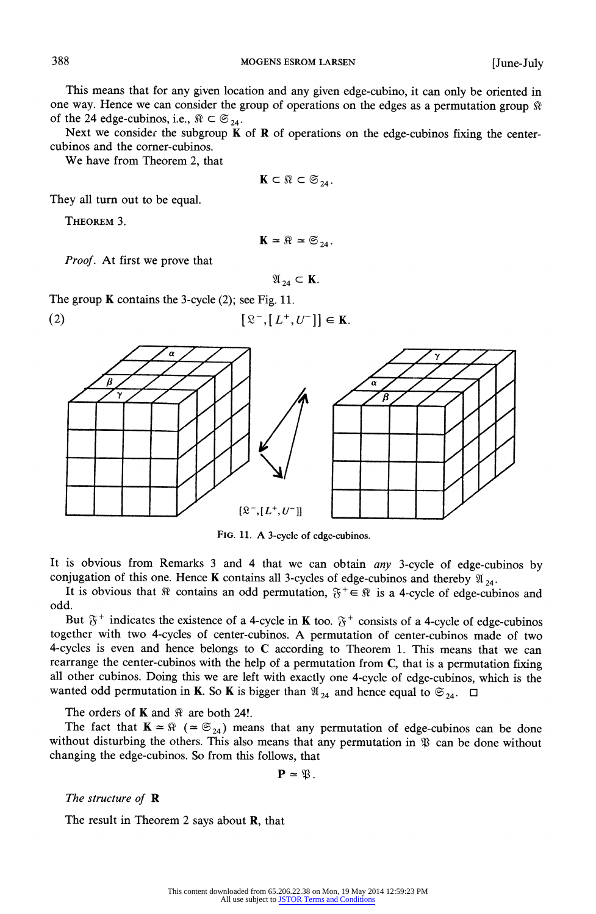388 MOGENS ESROM LARSEN [June-July

This means that for any given location and any given edge-cubino, it can only be oriented in one way. Hence we can consider the group of operations on the edges as a permutation group  $\Re$ of the 24 edge-cubinos, i.e.,  $\Re \subset \mathfrak{S}_{24}$ .

Next we consider the subgroup  $K$  of  $R$  of operations on the edge-cubinos fixing the centercubinos and the corner-cubinos.

We have from Theorem 2, that

$$
\mathbf{K} \subset \mathbb{R} \subset \mathfrak{S}_{24}.
$$

They all turn out to be equal.

THEOREM 3.

$$
\mathbf{K} \simeq \mathbb{R} \simeq \mathfrak{S}_{24}.
$$

Proof. At first we prove that

 $\mathfrak{A}_{24} \subset \mathbf{K}$ .

The group **K** contains the 3-cycle (2); see Fig. 11.





FIG. 11. A 3-cycle of edge-cubinos.

It is obvious from Remarks 3 and 4 that we can obtain any 3-cycle of edge-cubinos by conjugation of this one. Hence K contains all 3-cycles of edge-cubinos and thereby  $\mathfrak{A}_{24}$ .

It is obvious that  $\Re$  contains an odd permutation,  $\mathfrak{F}^+ \in \Re$  is a 4-cycle of edge-cubinos and odd.

But  $\mathfrak{F}^+$  indicates the existence of a 4-cycle in **K** too.  $\mathfrak{F}^+$  consists of a 4-cycle of edge-cubinos together with two 4-cycles of center-cubinos. A permutation of center-cubinos made of two 4-cycles is even and hence belongs to C according to Theorem 1. This means that we can rearrange the center-cubinos with the help of a permutation from C, that is a permutation fixing all other cubinos. Doing this we are left with exactly one 4-cycle of edge-cubinos, which is the wanted odd permutation in **K**. So **K** is bigger than  $\mathfrak{A}_{24}$  and hence equal to  $\mathfrak{S}_{24}$ .  $\Box$ 

The orders of **K** and  $\Re$  are both 24!.

The fact that  $K \approx \Re$  ( $\approx \mathfrak{S}_{24}$ ) means that any permutation of edge-cubinos can be done without disturbing the others. This also means that any permutation in  $\mathfrak P$  can be done without changing the edge-cubinos. So from this follows, that

 $\mathbf{P} \simeq \mathfrak{P}$ .

The structure of  $\mathbf R$ 

The result in Theorem 2 says about **R**, that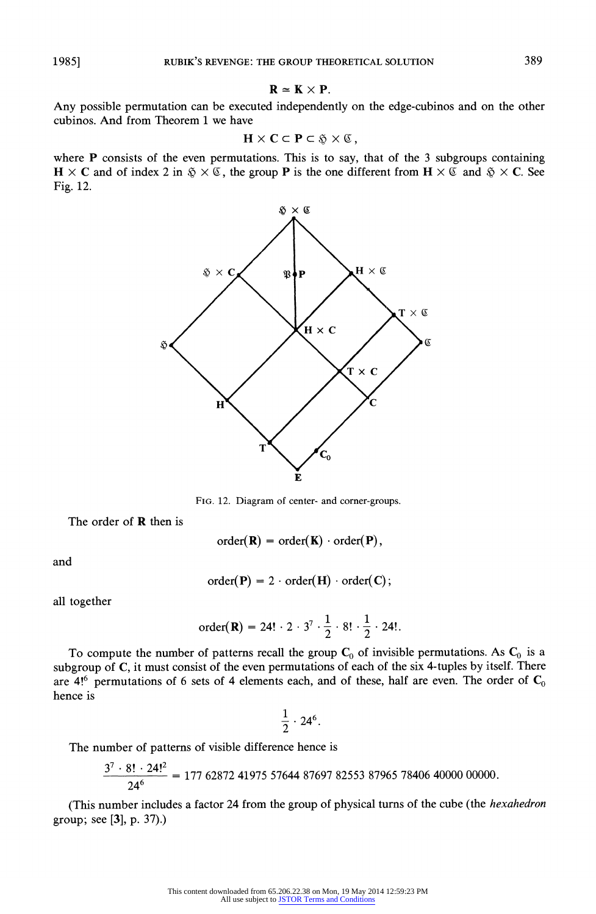$$
\mathbf{R} \simeq \mathbf{K} \times \mathbf{P}.
$$

Any possible permutation can be executed independently on the edge-cubinos and on the other cubinos. And from Theorem 1 we have

$$
\mathbf{H} \times \mathbf{C} \subset \mathbf{P} \subset \mathfrak{F} \times \mathfrak{C} \,,
$$

where P consists of the even permutations. This is to say, that of the 3 subgroups containing  $H \times C$  and of index 2 in  $\tilde{\varphi} \times \mathcal{C}$ , the group P is the one different from  $H \times \mathcal{C}$  and  $\tilde{\varphi} \times C$ . See Fig. 12.



FIG. 12. Diagram of center- and corner-groups.

The order of  **then is** 

$$
order(\mathbf{R}) = order(\mathbf{K}) \cdot order(\mathbf{P}),
$$

and

$$
order(P) = 2 \cdot order(H) \cdot order(C);
$$

all together

order(**R**) = 24! · 2 · 3<sup>7</sup> · 
$$
\frac{1}{2}
$$
 · 8! ·  $\frac{1}{2}$  · 24!.

To compute the number of patterns recall the group  $C_0$  of invisible permutations. As  $C_0$  is a subgroup of C, it must consist of the even permutations of each of the six 4-tuples by itself. There are  $4!^6$  permutations of 6 sets of 4 elements each, and of these, half are even. The order of  $C_0$ hence is

$$
\frac{1}{2}\cdot 24^6.
$$

The number of patterns of visible difference hence is

$$
\frac{3^7 \cdot 8! \cdot 24!^2}{24^6} = 177\ 62872\ 41975\ 57644\ 87697\ 82553\ 87965\ 78406\ 40000\ 00000.
$$

(This number includes a factor 24 from the group of physical turns of the cube (the *hexahedron* group; see [3], p. 37).)